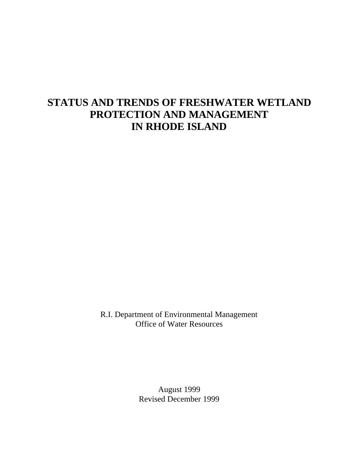# **STATUS AND TRENDS OF FRESHWATER WETLAND PROTECTION AND MANAGEMENT IN RHODE ISLAND**

R.I. Department of Environmental Management Office of Water Resources

> August 1999 Revised December 1999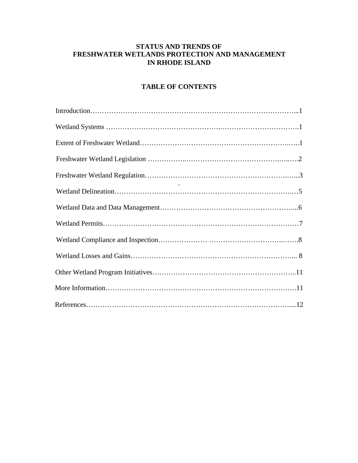## **STATUS AND TRENDS OF FRESHWATER WETLANDS PROTECTION AND MANAGEMENT IN RHODE ISLAND**

# **TABLE OF CONTENTS**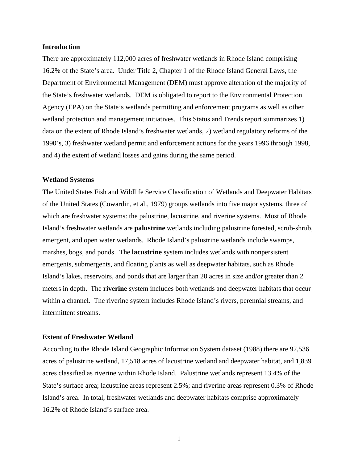#### **Introduction**

There are approximately 112,000 acres of freshwater wetlands in Rhode Island comprising 16.2% of the State's area. Under Title 2, Chapter 1 of the Rhode Island General Laws, the Department of Environmental Management (DEM) must approve alteration of the majority of the State's freshwater wetlands. DEM is obligated to report to the Environmental Protection Agency (EPA) on the State's wetlands permitting and enforcement programs as well as other wetland protection and management initiatives. This Status and Trends report summarizes 1) data on the extent of Rhode Island's freshwater wetlands, 2) wetland regulatory reforms of the 1990's, 3) freshwater wetland permit and enforcement actions for the years 1996 through 1998, and 4) the extent of wetland losses and gains during the same period.

#### **Wetland Systems**

The United States Fish and Wildlife Service Classification of Wetlands and Deepwater Habitats of the United States (Cowardin, et al., 1979) groups wetlands into five major systems, three of which are freshwater systems: the palustrine, lacustrine, and riverine systems. Most of Rhode Island's freshwater wetlands are **palustrine** wetlands including palustrine forested, scrub-shrub, emergent, and open water wetlands. Rhode Island's palustrine wetlands include swamps, marshes, bogs, and ponds. The **lacustrine** system includes wetlands with nonpersistent emergents, submergents, and floating plants as well as deepwater habitats, such as Rhode Island's lakes, reservoirs, and ponds that are larger than 20 acres in size and/or greater than 2 meters in depth. The **riverine** system includes both wetlands and deepwater habitats that occur within a channel. The riverine system includes Rhode Island's rivers, perennial streams, and intermittent streams.

#### **Extent of Freshwater Wetland**

According to the Rhode Island Geographic Information System dataset (1988) there are 92,536 acres of palustrine wetland, 17,518 acres of lacustrine wetland and deepwater habitat, and 1,839 acres classified as riverine within Rhode Island. Palustrine wetlands represent 13.4% of the State's surface area; lacustrine areas represent 2.5%; and riverine areas represent 0.3% of Rhode Island's area. In total, freshwater wetlands and deepwater habitats comprise approximately 16.2% of Rhode Island's surface area.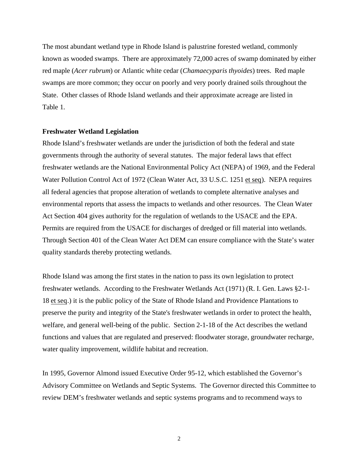The most abundant wetland type in Rhode Island is palustrine forested wetland, commonly known as wooded swamps. There are approximately 72,000 acres of swamp dominated by either red maple (*Acer rubrum*) or Atlantic white cedar (*Chamaecyparis thyoides*) trees. Red maple swamps are more common; they occur on poorly and very poorly drained soils throughout the State. Other classes of Rhode Island wetlands and their approximate acreage are listed in Table 1.

#### **Freshwater Wetland Legislation**

Rhode Island's freshwater wetlands are under the jurisdiction of both the federal and state governments through the authority of several statutes. The major federal laws that effect freshwater wetlands are the National Environmental Policy Act (NEPA) of 1969, and the Federal Water Pollution Control Act of 1972 (Clean Water Act, 33 U.S.C. 1251 et seq). NEPA requires all federal agencies that propose alteration of wetlands to complete alternative analyses and environmental reports that assess the impacts to wetlands and other resources. The Clean Water Act Section 404 gives authority for the regulation of wetlands to the USACE and the EPA. Permits are required from the USACE for discharges of dredged or fill material into wetlands. Through Section 401 of the Clean Water Act DEM can ensure compliance with the State's water quality standards thereby protecting wetlands.

Rhode Island was among the first states in the nation to pass its own legislation to protect freshwater wetlands. According to the Freshwater Wetlands Act (1971) (R. I. Gen. Laws §2-1- 18 et seq.) it is the public policy of the State of Rhode Island and Providence Plantations to preserve the purity and integrity of the State's freshwater wetlands in order to protect the health, welfare, and general well-being of the public. Section 2-1-18 of the Act describes the wetland functions and values that are regulated and preserved: floodwater storage, groundwater recharge, water quality improvement, wildlife habitat and recreation.

In 1995, Governor Almond issued Executive Order 95-12, which established the Governor's Advisory Committee on Wetlands and Septic Systems. The Governor directed this Committee to review DEM's freshwater wetlands and septic systems programs and to recommend ways to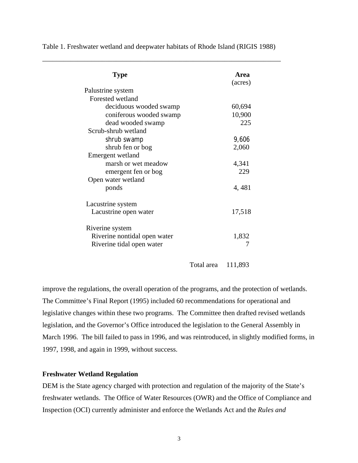| <b>Type</b>                  | <b>Area</b><br>(acres) |
|------------------------------|------------------------|
| Palustrine system            |                        |
| Forested wetland             |                        |
| deciduous wooded swamp       | 60,694                 |
| coniferous wooded swamp      | 10,900                 |
| dead wooded swamp            | 225                    |
| Scrub-shrub wetland          |                        |
| shrub swamp                  | 9,606                  |
| shrub fen or bog             | 2,060                  |
| Emergent wetland             |                        |
| marsh or wet meadow          | 4,341                  |
| emergent fen or bog          | 229                    |
| Open water wetland           |                        |
| ponds                        | 4, 481                 |
| Lacustrine system            |                        |
| Lacustrine open water        | 17,518                 |
| Riverine system              |                        |
| Riverine nontidal open water | 1,832                  |
| Riverine tidal open water    |                        |

Table 1. Freshwater wetland and deepwater habitats of Rhode Island (RIGIS 1988)

\_\_\_\_\_\_\_\_\_\_\_\_\_\_\_\_\_\_\_\_\_\_\_\_\_\_\_\_\_\_\_\_\_\_\_\_\_\_\_\_\_\_\_\_\_\_\_\_\_\_\_\_\_\_\_\_\_\_\_\_\_\_\_\_\_\_\_\_

Total area 111,893

improve the regulations, the overall operation of the programs, and the protection of wetlands. The Committee's Final Report (1995) included 60 recommendations for operational and legislative changes within these two programs. The Committee then drafted revised wetlands legislation, and the Governor's Office introduced the legislation to the General Assembly in March 1996. The bill failed to pass in 1996, and was reintroduced, in slightly modified forms, in 1997, 1998, and again in 1999, without success.

#### **Freshwater Wetland Regulation**

DEM is the State agency charged with protection and regulation of the majority of the State's freshwater wetlands. The Office of Water Resources (OWR) and the Office of Compliance and Inspection (OCI) currently administer and enforce the Wetlands Act and the *Rules and*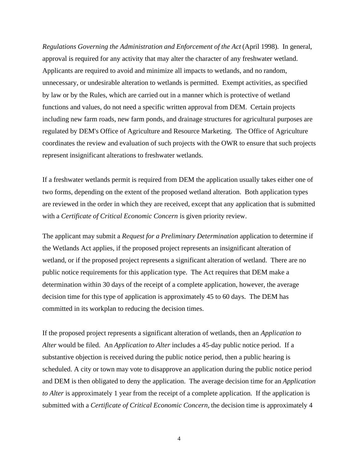*Regulations Governing the Administration and Enforcement of the Act* (April 1998). In general, approval is required for any activity that may alter the character of any freshwater wetland. Applicants are required to avoid and minimize all impacts to wetlands, and no random, unnecessary, or undesirable alteration to wetlands is permitted. Exempt activities, as specified by law or by the Rules, which are carried out in a manner which is protective of wetland functions and values, do not need a specific written approval from DEM. Certain projects including new farm roads, new farm ponds, and drainage structures for agricultural purposes are regulated by DEM's Office of Agriculture and Resource Marketing. The Office of Agriculture coordinates the review and evaluation of such projects with the OWR to ensure that such projects represent insignificant alterations to freshwater wetlands.

If a freshwater wetlands permit is required from DEM the application usually takes either one of two forms, depending on the extent of the proposed wetland alteration. Both application types are reviewed in the order in which they are received, except that any application that is submitted with a *Certificate of Critical Economic Concern* is given priority review.

The applicant may submit a *Request for a Preliminary Determination* application to determine if the Wetlands Act applies, if the proposed project represents an insignificant alteration of wetland, or if the proposed project represents a significant alteration of wetland. There are no public notice requirements for this application type. The Act requires that DEM make a determination within 30 days of the receipt of a complete application, however, the average decision time for this type of application is approximately 45 to 60 days. The DEM has committed in its workplan to reducing the decision times.

If the proposed project represents a significant alteration of wetlands, then an *Application to Alter* would be filed. An *Application to Alter* includes a 45-day public notice period. If a substantive objection is received during the public notice period, then a public hearing is scheduled. A city or town may vote to disapprove an application during the public notice period and DEM is then obligated to deny the application. The average decision time for an *Application to Alter* is approximately 1 year from the receipt of a complete application. If the application is submitted with a *Certificate of Critical Economic Concern,* the decision time is approximately 4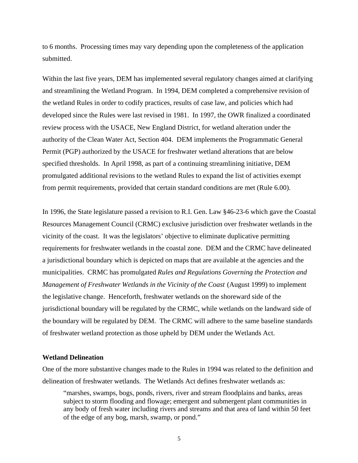to 6 months. Processing times may vary depending upon the completeness of the application submitted.

Within the last five years, DEM has implemented several regulatory changes aimed at clarifying and streamlining the Wetland Program. In 1994, DEM completed a comprehensive revision of the wetland Rules in order to codify practices, results of case law, and policies which had developed since the Rules were last revised in 1981. In 1997, the OWR finalized a coordinated review process with the USACE, New England District, for wetland alteration under the authority of the Clean Water Act, Section 404. DEM implements the Programmatic General Permit (PGP) authorized by the USACE for freshwater wetland alterations that are below specified thresholds. In April 1998, as part of a continuing streamlining initiative, DEM promulgated additional revisions to the wetland Rules to expand the list of activities exempt from permit requirements, provided that certain standard conditions are met (Rule 6.00).

In 1996, the State legislature passed a revision to R.I. Gen. Law §46-23-6 which gave the Coastal Resources Management Council (CRMC) exclusive jurisdiction over freshwater wetlands in the vicinity of the coast. It was the legislators' objective to eliminate duplicative permitting requirements for freshwater wetlands in the coastal zone. DEM and the CRMC have delineated a jurisdictional boundary which is depicted on maps that are available at the agencies and the municipalities. CRMC has promulgated *Rules and Regulations Governing the Protection and Management of Freshwater Wetlands in the Vicinity of the Coast* (August 1999) to implement the legislative change. Henceforth, freshwater wetlands on the shoreward side of the jurisdictional boundary will be regulated by the CRMC, while wetlands on the landward side of the boundary will be regulated by DEM. The CRMC will adhere to the same baseline standards of freshwater wetland protection as those upheld by DEM under the Wetlands Act.

#### **Wetland Delineation**

One of the more substantive changes made to the Rules in 1994 was related to the definition and delineation of freshwater wetlands. The Wetlands Act defines freshwater wetlands as:

"marshes, swamps, bogs, ponds, rivers, river and stream floodplains and banks, areas subject to storm flooding and flowage; emergent and submergent plant communities in any body of fresh water including rivers and streams and that area of land within 50 feet of the edge of any bog, marsh, swamp, or pond."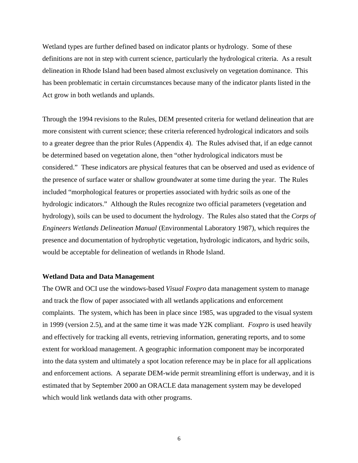Wetland types are further defined based on indicator plants or hydrology. Some of these definitions are not in step with current science, particularly the hydrological criteria. As a result delineation in Rhode Island had been based almost exclusively on vegetation dominance. This has been problematic in certain circumstances because many of the indicator plants listed in the Act grow in both wetlands and uplands.

Through the 1994 revisions to the Rules, DEM presented criteria for wetland delineation that are more consistent with current science; these criteria referenced hydrological indicators and soils to a greater degree than the prior Rules (Appendix 4). The Rules advised that, if an edge cannot be determined based on vegetation alone, then "other hydrological indicators must be considered." These indicators are physical features that can be observed and used as evidence of the presence of surface water or shallow groundwater at some time during the year. The Rules included "morphological features or properties associated with hydric soils as one of the hydrologic indicators." Although the Rules recognize two official parameters (vegetation and hydrology), soils can be used to document the hydrology. The Rules also stated that the *Corps of Engineers Wetlands Delineation Manual* (Environmental Laboratory 1987), which requires the presence and documentation of hydrophytic vegetation, hydrologic indicators, and hydric soils, would be acceptable for delineation of wetlands in Rhode Island.

#### **Wetland Data and Data Management**

The OWR and OCI use the windows-based *Visual Foxpro* data management system to manage and track the flow of paper associated with all wetlands applications and enforcement complaints. The system, which has been in place since 1985, was upgraded to the visual system in 1999 (version 2.5), and at the same time it was made Y2K compliant. *Foxpro* is used heavily and effectively for tracking all events, retrieving information, generating reports, and to some extent for workload management. A geographic information component may be incorporated into the data system and ultimately a spot location reference may be in place for all applications and enforcement actions. A separate DEM-wide permit streamlining effort is underway, and it is estimated that by September 2000 an ORACLE data management system may be developed which would link wetlands data with other programs.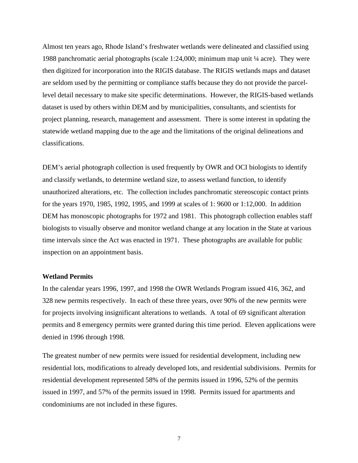Almost ten years ago, Rhode Island's freshwater wetlands were delineated and classified using 1988 panchromatic aerial photographs (scale 1:24,000; minimum map unit  $\frac{1}{4}$  acre). They were then digitized for incorporation into the RIGIS database. The RIGIS wetlands maps and dataset are seldom used by the permitting or compliance staffs because they do not provide the parcellevel detail necessary to make site specific determinations. However, the RIGIS-based wetlands dataset is used by others within DEM and by municipalities, consultants, and scientists for project planning, research, management and assessment. There is some interest in updating the statewide wetland mapping due to the age and the limitations of the original delineations and classifications.

DEM's aerial photograph collection is used frequently by OWR and OCI biologists to identify and classify wetlands, to determine wetland size, to assess wetland function, to identify unauthorized alterations, etc. The collection includes panchromatic stereoscopic contact prints for the years 1970, 1985, 1992, 1995, and 1999 at scales of 1: 9600 or 1:12,000. In addition DEM has monoscopic photographs for 1972 and 1981. This photograph collection enables staff biologists to visually observe and monitor wetland change at any location in the State at various time intervals since the Act was enacted in 1971. These photographs are available for public inspection on an appointment basis.

#### **Wetland Permits**

In the calendar years 1996, 1997, and 1998 the OWR Wetlands Program issued 416, 362, and 328 new permits respectively. In each of these three years, over 90% of the new permits were for projects involving insignificant alterations to wetlands. A total of 69 significant alteration permits and 8 emergency permits were granted during this time period. Eleven applications were denied in 1996 through 1998.

The greatest number of new permits were issued for residential development, including new residential lots, modifications to already developed lots, and residential subdivisions. Permits for residential development represented 58% of the permits issued in 1996, 52% of the permits issued in 1997, and 57% of the permits issued in 1998. Permits issued for apartments and condominiums are not included in these figures.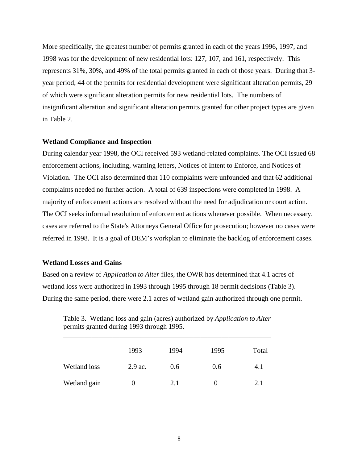More specifically, the greatest number of permits granted in each of the years 1996, 1997, and 1998 was for the development of new residential lots: 127, 107, and 161, respectively. This represents 31%, 30%, and 49% of the total permits granted in each of those years. During that 3 year period, 44 of the permits for residential development were significant alteration permits, 29 of which were significant alteration permits for new residential lots. The numbers of insignificant alteration and significant alteration permits granted for other project types are given in Table 2.

#### **Wetland Compliance and Inspection**

During calendar year 1998, the OCI received 593 wetland-related complaints. The OCI issued 68 enforcement actions, including, warning letters, Notices of Intent to Enforce, and Notices of Violation. The OCI also determined that 110 complaints were unfounded and that 62 additional complaints needed no further action. A total of 639 inspections were completed in 1998. A majority of enforcement actions are resolved without the need for adjudication or court action. The OCI seeks informal resolution of enforcement actions whenever possible. When necessary, cases are referred to the State's Attorneys General Office for prosecution; however no cases were referred in 1998. It is a goal of DEM's workplan to eliminate the backlog of enforcement cases.

#### **Wetland Losses and Gains**

Based on a review of *Application to Alter* files, the OWR has determined that 4.1 acres of wetland loss were authorized in 1993 through 1995 through 18 permit decisions (Table 3). During the same period, there were 2.1 acres of wetland gain authorized through one permit.

Table 3. Wetland loss and gain (acres) authorized by *Application to Alter* permits granted during 1993 through 1995.

|                     | 1993    | 1994 | 1995 | Total |
|---------------------|---------|------|------|-------|
| <b>Wetland loss</b> | 2.9 ac. | 0.6  | 0.6  | 4.1   |
| Wetland gain        |         | 2.1  |      | 2.1   |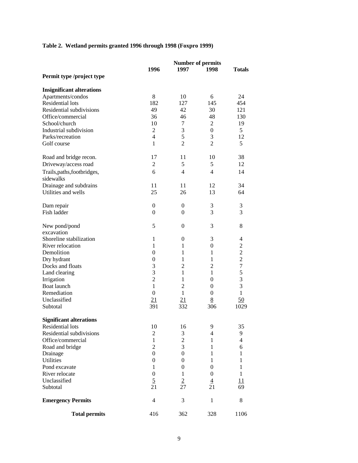## **Table 2. Wetland permits granted 1996 through 1998 (Foxpro 1999)**

|                                          |                  | <b>Number of permits</b> |                  |                |  |
|------------------------------------------|------------------|--------------------------|------------------|----------------|--|
|                                          | 1996             | 1997                     | 1998             | <b>Totals</b>  |  |
| Permit type /project type                |                  |                          |                  |                |  |
| <b>Insignificant alterations</b>         |                  |                          |                  |                |  |
| Apartments/condos                        | 8                | 10                       | 6                | 24             |  |
| <b>Residential lots</b>                  | 182              | 127                      | 145              | 454            |  |
| Residential subdivisions                 | 49               | 42                       | 30               | 121            |  |
| Office/commercial                        | 36               | 46                       | 48               | 130            |  |
| School/church                            | 10               | 7                        | 2                | 19             |  |
| Industrial subdivision                   | $\overline{c}$   | 3                        | $\boldsymbol{0}$ | 5              |  |
| Parks/recreation                         | $\overline{4}$   | 5                        | 3                | 12             |  |
| Golf course                              | $\mathbf{1}$     | $\overline{2}$           | $\overline{2}$   | 5              |  |
| Road and bridge recon.                   | 17               | 11                       | 10               | 38             |  |
| Driveway/access road                     | 2                | 5                        | 5                | 12             |  |
| Trails, paths, footbridges,<br>sidewalks | 6                | $\overline{4}$           | $\overline{4}$   | 14             |  |
|                                          |                  |                          |                  |                |  |
| Drainage and subdrains                   | 11               | 11                       | 12               | 34             |  |
| Utilities and wells                      | 25               | 26                       | 13               | 64             |  |
| Dam repair                               | $\overline{0}$   | $\mathbf{0}$             | $\mathfrak 3$    | 3              |  |
| Fish ladder                              | $\mathbf{0}$     | $\overline{0}$           | 3                | 3              |  |
| New pond/pond                            | 5                | $\overline{0}$           | 3                | 8              |  |
| excavation                               |                  |                          |                  |                |  |
| Shoreline stabilization                  | $\mathbf{1}$     | $\mathbf{0}$             | 3                | 4              |  |
| River relocation                         | 1                | 1                        | $\boldsymbol{0}$ | $\mathbf{2}$   |  |
| Demolition                               | $\overline{0}$   | 1                        | 1                | $\overline{c}$ |  |
| Dry hydrant                              | $\theta$         | 1                        | 1                | $\overline{2}$ |  |
| Docks and floats                         | 3                | $\overline{2}$           | $\overline{c}$   | $\overline{7}$ |  |
| Land clearing                            | 3                | $\mathbf{1}$             | $\mathbf{1}$     | 5              |  |
| Irrigation                               | $\overline{2}$   | $\mathbf{1}$             | $\boldsymbol{0}$ | 3              |  |
| Boat launch                              | $\mathbf{1}$     | $\overline{c}$           | $\mathbf{0}$     | 3              |  |
| Remediation                              | $\mathbf{0}$     | $\mathbf{1}$             | $\mathbf{0}$     | $\mathbf{1}$   |  |
| Unclassified                             | 21               | 21                       | 8                | 50             |  |
| Subtotal                                 | 391              | 332                      | 306              | 1029           |  |
| <b>Significant alterations</b>           |                  |                          |                  |                |  |
| Residential lots                         | 10               | 16                       | 9                | 35             |  |
| Residential subdivisions                 | $\overline{c}$   | 3                        | 4                | 9              |  |
| Office/commercial                        | $\mathbf{1}$     | $\overline{2}$           | 1                | $\overline{4}$ |  |
| Road and bridge                          | $\overline{2}$   | 3                        | 1                | 6              |  |
| Drainage                                 | $\boldsymbol{0}$ | $\boldsymbol{0}$         | 1                | $\mathbf{1}$   |  |
| <b>Utilities</b>                         | 0                | $\theta$                 | 1                | $\mathbf{1}$   |  |
| Pond excavate                            | 1                | $\theta$                 | $\theta$         | 1              |  |
| River relocate                           | $\mathbf{0}$     | 1                        | $\mathbf{0}$     | $\mathbf{1}$   |  |
| Unclassified                             | $\overline{5}$   | $\overline{2}$           | $\overline{4}$   | 11             |  |
| Subtotal                                 | 21               | 27                       | 21               | 69             |  |
| <b>Emergency Permits</b>                 | $\overline{4}$   | 3                        | 1                | 8              |  |
| <b>Total permits</b>                     | 416              | 362                      | 328              | 1106           |  |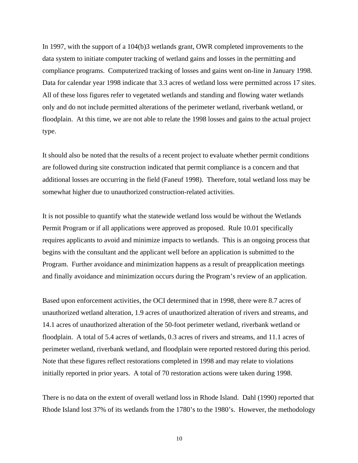In 1997, with the support of a 104(b)3 wetlands grant, OWR completed improvements to the data system to initiate computer tracking of wetland gains and losses in the permitting and compliance programs. Computerized tracking of losses and gains went on-line in January 1998. Data for calendar year 1998 indicate that 3.3 acres of wetland loss were permitted across 17 sites. All of these loss figures refer to vegetated wetlands and standing and flowing water wetlands only and do not include permitted alterations of the perimeter wetland, riverbank wetland, or floodplain. At this time, we are not able to relate the 1998 losses and gains to the actual project type.

It should also be noted that the results of a recent project to evaluate whether permit conditions are followed during site construction indicated that permit compliance is a concern and that additional losses are occurring in the field (Faneuf 1998). Therefore, total wetland loss may be somewhat higher due to unauthorized construction-related activities.

It is not possible to quantify what the statewide wetland loss would be without the Wetlands Permit Program or if all applications were approved as proposed. Rule 10.01 specifically requires applicants to avoid and minimize impacts to wetlands. This is an ongoing process that begins with the consultant and the applicant well before an application is submitted to the Program. Further avoidance and minimization happens as a result of preapplication meetings and finally avoidance and minimization occurs during the Program's review of an application.

Based upon enforcement activities, the OCI determined that in 1998, there were 8.7 acres of unauthorized wetland alteration, 1.9 acres of unauthorized alteration of rivers and streams, and 14.1 acres of unauthorized alteration of the 50-foot perimeter wetland, riverbank wetland or floodplain. A total of 5.4 acres of wetlands, 0.3 acres of rivers and streams, and 11.1 acres of perimeter wetland, riverbank wetland, and floodplain were reported restored during this period. Note that these figures reflect restorations completed in 1998 and may relate to violations initially reported in prior years. A total of 70 restoration actions were taken during 1998.

There is no data on the extent of overall wetland loss in Rhode Island. Dahl (1990) reported that Rhode Island lost 37% of its wetlands from the 1780's to the 1980's. However, the methodology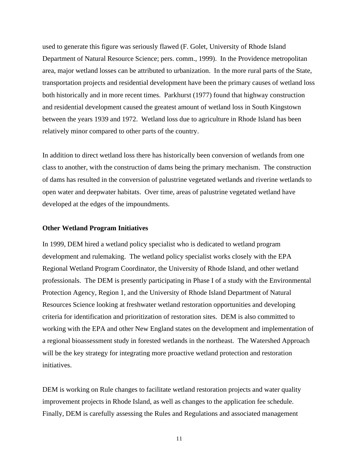used to generate this figure was seriously flawed (F. Golet, University of Rhode Island Department of Natural Resource Science; pers. comm., 1999). In the Providence metropolitan area, major wetland losses can be attributed to urbanization. In the more rural parts of the State, transportation projects and residential development have been the primary causes of wetland loss both historically and in more recent times. Parkhurst (1977) found that highway construction and residential development caused the greatest amount of wetland loss in South Kingstown between the years 1939 and 1972. Wetland loss due to agriculture in Rhode Island has been relatively minor compared to other parts of the country.

In addition to direct wetland loss there has historically been conversion of wetlands from one class to another, with the construction of dams being the primary mechanism. The construction of dams has resulted in the conversion of palustrine vegetated wetlands and riverine wetlands to open water and deepwater habitats. Over time, areas of palustrine vegetated wetland have developed at the edges of the impoundments.

#### **Other Wetland Program Initiatives**

In 1999, DEM hired a wetland policy specialist who is dedicated to wetland program development and rulemaking. The wetland policy specialist works closely with the EPA Regional Wetland Program Coordinator, the University of Rhode Island, and other wetland professionals. The DEM is presently participating in Phase I of a study with the Environmental Protection Agency, Region 1, and the University of Rhode Island Department of Natural Resources Science looking at freshwater wetland restoration opportunities and developing criteria for identification and prioritization of restoration sites. DEM is also committed to working with the EPA and other New England states on the development and implementation of a regional bioassessment study in forested wetlands in the northeast. The Watershed Approach will be the key strategy for integrating more proactive wetland protection and restoration initiatives.

DEM is working on Rule changes to facilitate wetland restoration projects and water quality improvement projects in Rhode Island, as well as changes to the application fee schedule. Finally, DEM is carefully assessing the Rules and Regulations and associated management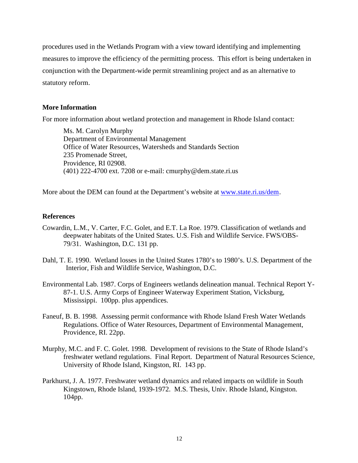procedures used in the Wetlands Program with a view toward identifying and implementing measures to improve the efficiency of the permitting process. This effort is being undertaken in conjunction with the Department-wide permit streamlining project and as an alternative to statutory reform.

## **More Information**

For more information about wetland protection and management in Rhode Island contact:

Ms. M. Carolyn Murphy Department of Environmental Management Office of Water Resources, Watersheds and Standards Section 235 Promenade Street, Providence, RI 02908. (401) 222-4700 ext. 7208 or e-mail: cmurphy@dem.state.ri.us

More about the DEM can found at the Department's website at www.state.ri.us/dem.

## **References**

- Cowardin, L.M., V. Carter, F.C. Golet, and E.T. La Roe. 1979. Classification of wetlands and deepwater habitats of the United States. U.S. Fish and Wildlife Service. FWS/OBS-79/31. Washington, D.C. 131 pp.
- Dahl, T. E. 1990. Wetland losses in the United States 1780's to 1980's. U.S. Department of the Interior, Fish and Wildlife Service, Washington, D.C.
- Environmental Lab. 1987. Corps of Engineers wetlands delineation manual. Technical Report Y-87-1. U.S. Army Corps of Engineer Waterway Experiment Station, Vicksburg, Mississippi. 100pp. plus appendices.
- Faneuf, B. B. 1998. Assessing permit conformance with Rhode Island Fresh Water Wetlands Regulations. Office of Water Resources, Department of Environmental Management, Providence, RI. 22pp.
- Murphy, M.C. and F. C. Golet. 1998. Development of revisions to the State of Rhode Island's freshwater wetland regulations. Final Report. Department of Natural Resources Science, University of Rhode Island, Kingston, RI. 143 pp.
- Parkhurst, J. A. 1977. Freshwater wetland dynamics and related impacts on wildlife in South Kingstown, Rhode Island, 1939-1972. M.S. Thesis, Univ. Rhode Island, Kingston. 104pp.